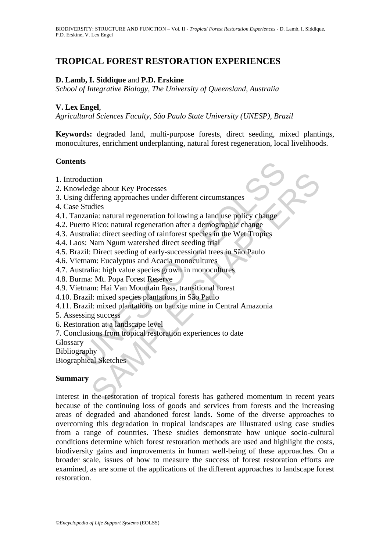# **TROPICAL FOREST RESTORATION EXPERIENCES**

#### **D. Lamb, I. Siddique** and **P.D. Erskine**

*School of Integrative Biology, The University of Queensland, Australia* 

#### **V. Lex Engel**,

*Agricultural Sciences Faculty, São Paulo State University (UNESP), Brazil* 

**Keywords:** degraded land, multi-purpose forests, direct seeding, mixed plantings, monocultures, enrichment underplanting, natural forest regeneration, local livelihoods.

#### **Contents**

- 1. Introduction
- 2. Knowledge about Key Processes
- 3. Using differing approaches under different circumstances
- 4. Case Studies
- **IS**<br> **Solution**<br> **Solution**<br> **Solution**<br> **Solution**<br> **Solution**<br> **Solution**<br> **Solution**<br> **Solution**<br> **Solution**<br> **Solution**<br> **Solution**<br> **Solution**<br> **Solution**<br> **Solution**<br> **Solution**<br> **Solution**<br> **Solution**<br> **Solution**<br> 4.1. Tanzania: natural regeneration following a land use policy change
- 4.2. Puerto Rico: natural regeneration after a demographic change
- 4.3. Australia: direct seeding of rainforest species in the Wet Tropics
- 4.4. Laos: Nam Ngum watershed direct seeding trial
- 4.5. Brazil: Direct seeding of early-successional trees in São Paulo
- 4.6. Vietnam: Eucalyptus and Acacia monocultures
- 4.7. Australia: high value species grown in monocultures
- 4.8. Burma: Mt. Popa Forest Reserve
- 4.9. Vietnam: Hai Van Mountain Pass, transitional forest
- 4.10. Brazil: mixed species plantations in São Paulo
- 4.11. Brazil: mixed plantations on bauxite mine in Central Amazonia
- 5. Assessing success
- 6. Restoration at a landscape level
- 7. Conclusions from tropical restoration experiences to date

Glossary

Bibliography

Biographical Sketches

#### **Summary**

tion<br>
idea<br>
didisconding approaches under different circumstances<br>
didisconding a proaches under different circumstances<br>
idia: inturest reeding of rainforest species in the Wet Tropies<br>
Nam Ngum watershed direct seeding t Interest in the restoration of tropical forests has gathered momentum in recent years because of the continuing loss of goods and services from forests and the increasing areas of degraded and abandoned forest lands. Some of the diverse approaches to overcoming this degradation in tropical landscapes are illustrated using case studies from a range of countries. These studies demonstrate how unique socio-cultural conditions determine which forest restoration methods are used and highlight the costs, biodiversity gains and improvements in human well-being of these approaches. On a broader scale, issues of how to measure the success of forest restoration efforts are examined, as are some of the applications of the different approaches to landscape forest restoration.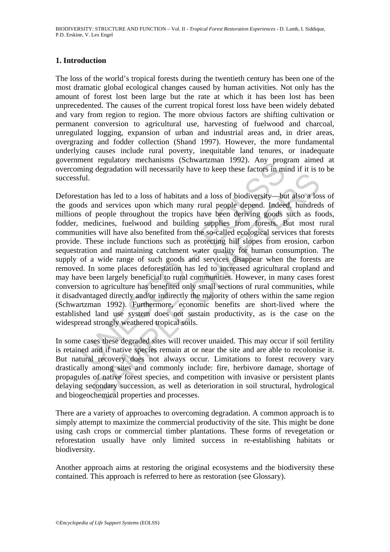#### **1. Introduction**

The loss of the world's tropical forests during the twentieth century has been one of the most dramatic global ecological changes caused by human activities. Not only has the amount of forest lost been large but the rate at which it has been lost has been unprecedented. The causes of the current tropical forest loss have been widely debated and vary from region to region. The more obvious factors are shifting cultivation or permanent conversion to agricultural use, harvesting of fuelwood and charcoal, unregulated logging, expansion of urban and industrial areas and, in drier areas, overgrazing and fodder collection (Shand 1997). However, the more fundamental underlying causes include rural poverty, inequitable land tenures, or inadequate government regulatory mechanisms (Schwartzman 1992). Any program aimed at overcoming degradation will necessarily have to keep these factors in mind if it is to be successful.

ment regulatorly inectnamisms (Scitwarizman 1992). Any program<br>ing degradation will necessarily have to keep these factors in mi<br>til.<br>tation has led to a loss of habitats and a loss of biodiversity—bu<br>ds and services upon on has led to a loss of habitats and a loss of biodiversity—but also a los<br>and services upon which many rural people depend. Indeed, hundred<br>f people throughout the tropics have been deriving goods such as fo<br>dicines, fuel Deforestation has led to a loss of habitats and a loss of biodiversity—but also a loss of the goods and services upon which many rural people depend. Indeed, hundreds of millions of people throughout the tropics have been deriving goods such as foods, fodder, medicines, fuelwood and building supplies from forests. But most rural communities will have also benefited from the so-called ecological services that forests provide. These include functions such as protecting hill slopes from erosion, carbon sequestration and maintaining catchment water quality for human consumption. The supply of a wide range of such goods and services disappear when the forests are removed. In some places deforestation has led to increased agricultural cropland and may have been largely beneficial to rural communities. However, in many cases forest conversion to agriculture has benefited only small sections of rural communities, while it disadvantaged directly and/or indirectly the majority of others within the same region (Schwartzman 1992). Furthermore, economic benefits are short-lived where the established land use system does not sustain productivity, as is the case on the widespread strongly weathered tropical soils.

In some cases these degraded sites will recover unaided. This may occur if soil fertility is retained and if native species remain at or near the site and are able to recolonise it. But natural recovery does not always occur. Limitations to forest recovery vary drastically among sites and commonly include: fire, herbivore damage, shortage of propagules of native forest species, and competition with invasive or persistent plants delaying secondary succession, as well as deterioration in soil structural, hydrological and biogeochemical properties and processes.

There are a variety of approaches to overcoming degradation. A common approach is to simply attempt to maximize the commercial productivity of the site. This might be done using cash crops or commercial timber plantations. These forms of revegetation or reforestation usually have only limited success in re-establishing habitats or biodiversity.

Another approach aims at restoring the original ecosystems and the biodiversity these contained. This approach is referred to here as restoration (see Glossary).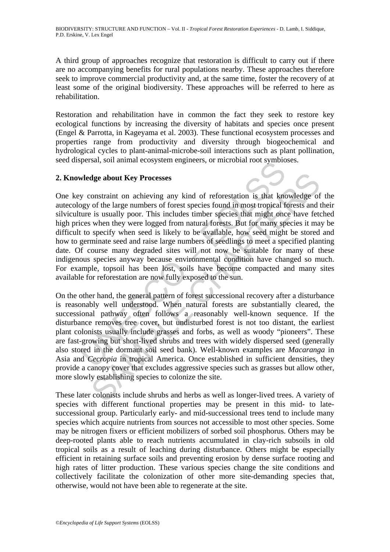A third group of approaches recognize that restoration is difficult to carry out if there are no accompanying benefits for rural populations nearby. These approaches therefore seek to improve commercial productivity and, at the same time, foster the recovery of at least some of the original biodiversity. These approaches will be referred to here as rehabilitation.

Restoration and rehabilitation have in common the fact they seek to restore key ecological functions by increasing the diversity of habitats and species once present (Engel & Parrotta, in Kageyama et al. 2003). These functional ecosystem processes and properties range from productivity and diversity through biogeochemical and hydrological cycles to plant-animal-microbe-soil interactions such as plant pollination, seed dispersal, soil animal ecosystem engineers, or microbial root symbioses.

#### **2. Knowledge about Key Processes**

**Nedge about Key Processes**<br>
y constraint on achieving any kind of reforestation is that know<br>
success y constraint on achieving any kind of reforestation is that know<br>
ture is usually poor. This includes timber species th dge about Key Processes<br>onstraint on achieving any kind of reforestation is that knowledge of<br>of the large numbers of forest species found in most tropical forests and<br>is usually poor. This includes timber species that mig One key constraint on achieving any kind of reforestation is that knowledge of the autecology of the large numbers of forest species found in most tropical forests and their silviculture is usually poor. This includes timber species that might once have fetched high prices when they were logged from natural forests. But for many species it may be difficult to specify when seed is likely to be available, how seed might be stored and how to germinate seed and raise large numbers of seedlings to meet a specified planting date. Of course many degraded sites will not now be suitable for many of these indigenous species anyway because environmental condition have changed so much. For example, topsoil has been lost, soils have become compacted and many sites available for reforestation are now fully exposed to the sun.

On the other hand, the general pattern of forest successional recovery after a disturbance is reasonably well understood. When natural forests are substantially cleared, the successional pathway often follows a reasonably well-known sequence. If the disturbance removes tree cover, but undisturbed forest is not too distant, the earliest plant colonists usually include grasses and forbs, as well as woody "pioneers". These are fast-growing but short-lived shrubs and trees with widely dispersed seed (generally also stored in the dormant soil seed bank). Well-known examples are *Macaranga* in Asia and *Cecropia* in tropical America. Once established in sufficient densities, they provide a canopy cover that excludes aggressive species such as grasses but allow other, more slowly establishing species to colonize the site.

These later colonists include shrubs and herbs as well as longer-lived trees. A variety of species with different functional properties may be present in this mid- to latesuccessional group. Particularly early- and mid-successional trees tend to include many species which acquire nutrients from sources not accessible to most other species. Some may be nitrogen fixers or efficient mobilizers of sorbed soil phosphorus. Others may be deep-rooted plants able to reach nutrients accumulated in clay-rich subsoils in old tropical soils as a result of leaching during disturbance. Others might be especially efficient in retaining surface soils and preventing erosion by dense surface rooting and high rates of litter production. These various species change the site conditions and collectively facilitate the colonization of other more site-demanding species that, otherwise, would not have been able to regenerate at the site.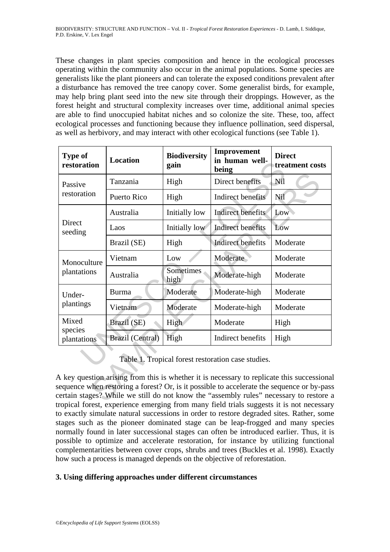These changes in plant species composition and hence in the ecological processes operating within the community also occur in the animal populations. Some species are generalists like the plant pioneers and can tolerate the exposed conditions prevalent after a disturbance has removed the tree canopy cover. Some generalist birds, for example, may help bring plant seed into the new site through their droppings. However, as the forest height and structural complexity increases over time, additional animal species are able to find unoccupied habitat niches and so colonize the site. These, too, affect ecological processes and functioning because they influence pollination, seed dispersal, as well as herbivory, and may interact with other ecological functions (see Table 1).

| Type of<br>restoration                                                                                                                                                                                                                                                         | <b>Location</b>  | <b>Biodiversity</b><br>gain | Improvement<br>in human well-<br>being | <b>Direct</b><br>treatment costs |
|--------------------------------------------------------------------------------------------------------------------------------------------------------------------------------------------------------------------------------------------------------------------------------|------------------|-----------------------------|----------------------------------------|----------------------------------|
| Passive<br>restoration                                                                                                                                                                                                                                                         | Tanzania         | High                        | Direct benefits                        | Nil                              |
|                                                                                                                                                                                                                                                                                | Puerto Rico      | High                        | Indirect benefits                      | Nil                              |
| Direct<br>seeding                                                                                                                                                                                                                                                              | Australia        | Initially low               | <b>Indirect benefits</b>               | Low                              |
|                                                                                                                                                                                                                                                                                | Laos             | Initially low               | Indirect benefits                      | Low                              |
|                                                                                                                                                                                                                                                                                | Brazil (SE)      | High                        | <b>Indirect benefits</b>               | Moderate                         |
| Monoculture<br>plantations                                                                                                                                                                                                                                                     | Vietnam          | Low                         | Moderate                               | Moderate                         |
|                                                                                                                                                                                                                                                                                | Australia        | Sometimes<br>high           | Moderate-high                          | Moderate                         |
| Under-<br>plantings                                                                                                                                                                                                                                                            | <b>Burma</b>     | Moderate                    | Moderate-high                          | Moderate                         |
|                                                                                                                                                                                                                                                                                | Vietnam          | Moderate                    | Moderate-high                          | Moderate                         |
| Mixed<br>species<br>plantations                                                                                                                                                                                                                                                | Brazil (SE)      | <b>High</b>                 | Moderate                               | High                             |
|                                                                                                                                                                                                                                                                                | Brazil (Central) | High                        | Indirect benefits                      | High                             |
| Table 1. Tropical forest restoration case studies.                                                                                                                                                                                                                             |                  |                             |                                        |                                  |
| A key question arising from this is whether it is necessary to replicate this successiona<br>equence when restoring a forest? Or, is it possible to accelerate the sequence or by-pas<br>ertain stages? While we still do not know the "assembly rules" necessary to restore a |                  |                             |                                        |                                  |

A key question arising from this is whether it is necessary to replicate this successional sequence when restoring a forest? Or, is it possible to accelerate the sequence or by-pass certain stages? While we still do not know the "assembly rules" necessary to restore a tropical forest, experience emerging from many field trials suggests it is not necessary to exactly simulate natural successions in order to restore degraded sites. Rather, some stages such as the pioneer dominated stage can be leap-frogged and many species normally found in later successional stages can often be introduced earlier. Thus, it is possible to optimize and accelerate restoration, for instance by utilizing functional complementarities between cover crops, shrubs and trees (Buckles et al. 1998). Exactly how such a process is managed depends on the objective of reforestation.

# **3. Using differing approaches under different circumstances**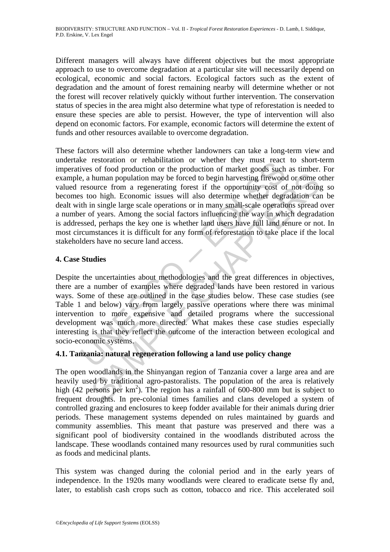Different managers will always have different objectives but the most appropriate approach to use to overcome degradation at a particular site will necessarily depend on ecological, economic and social factors. Ecological factors such as the extent of degradation and the amount of forest remaining nearby will determine whether or not the forest will recover relatively quickly without further intervention. The conservation status of species in the area might also determine what type of reforestation is needed to ensure these species are able to persist. However, the type of intervention will also depend on economic factors. For example, economic factors will determine the extent of funds and other resources available to overcome degradation.

Exercision of creamination of whener they must react<br>these of food production or the production of market goods such<br>e, a human population may be forced to begin harvesting firewood<br>resource from a regenerating forest if t human population may be forced to begin harvesting firewood or some cource from a regenerating forest if the opportunity cost of not doing<br>oo high. Economic issues will also determine whether degradation can<br>in single larg These factors will also determine whether landowners can take a long-term view and undertake restoration or rehabilitation or whether they must react to short-term imperatives of food production or the production of market goods such as timber. For example, a human population may be forced to begin harvesting firewood or some other valued resource from a regenerating forest if the opportunity cost of not doing so becomes too high. Economic issues will also determine whether degradation can be dealt with in single large scale operations or in many small-scale operations spread over a number of years. Among the social factors influencing the way in which degradation is addressed, perhaps the key one is whether land users have full land tenure or not. In most circumstances it is difficult for any form of reforestation to take place if the local stakeholders have no secure land access.

# **4. Case Studies**

Despite the uncertainties about methodologies and the great differences in objectives, there are a number of examples where degraded lands have been restored in various ways. Some of these are outlined in the case studies below. These case studies (see Table 1 and below) vary from largely passive operations where there was minimal intervention to more expensive and detailed programs where the successional development was much more directed. What makes these case studies especially interesting is that they reflect the outcome of the interaction between ecological and socio-economic systems.

# **4.1. Tanzania: natural regeneration following a land use policy change**

The open woodlands in the Shinyangan region of Tanzania cover a large area and are heavily used by traditional agro-pastoralists. The population of the area is relatively high (42 persons per  $km^2$ ). The region has a rainfall of 600-800 mm but is subject to frequent droughts. In pre-colonial times families and clans developed a system of controlled grazing and enclosures to keep fodder available for their animals during drier periods. These management systems depended on rules maintained by guards and community assemblies. This meant that pasture was preserved and there was a significant pool of biodiversity contained in the woodlands distributed across the landscape. These woodlands contained many resources used by rural communities such as foods and medicinal plants.

This system was changed during the colonial period and in the early years of independence. In the 1920s many woodlands were cleared to eradicate tsetse fly and, later, to establish cash crops such as cotton, tobacco and rice. This accelerated soil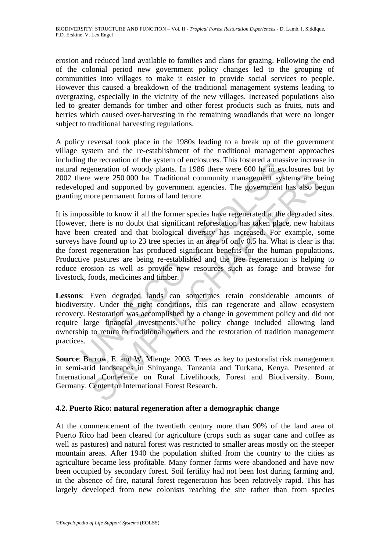erosion and reduced land available to families and clans for grazing. Following the end of the colonial period new government policy changes led to the grouping of communities into villages to make it easier to provide social services to people. However this caused a breakdown of the traditional management systems leading to overgrazing, especially in the vicinity of the new villages. Increased populations also led to greater demands for timber and other forest products such as fruits, nuts and berries which caused over-harvesting in the remaining woodlands that were no longer subject to traditional harvesting regulations.

A policy reversal took place in the 1980s leading to a break up of the government village system and the re-establishment of the traditional management approaches including the recreation of the system of enclosures. This fostered a massive increase in natural regeneration of woody plants. In 1986 there were 600 ha in exclosures but by 2002 there were 250 000 ha. Traditional community management systems are being redeveloped and supported by government agencies. The government has also begun granting more permanent forms of land tenure.

give terestation of the system of the system of the system of the system of the system of the system of the system of the system and supported and supported by government agencies. The government I g more permanent forms o were 250 000 ha. Traditional community management systems are bd and supported by government agencies. The government has also be ore permanent forms of land tenure.<br>
sible to know if all the former species have regenerate It is impossible to know if all the former species have regenerated at the degraded sites. However, there is no doubt that significant reforestation has taken place, new habitats have been created and that biological diversity has increased. For example, some surveys have found up to 23 tree species in an area of only 0.5 ha. What is clear is that the forest regeneration has produced significant benefits for the human populations. Productive pastures are being re-established and the tree regeneration is helping to reduce erosion as well as provide new resources such as forage and browse for livestock, foods, medicines and timber.

**Lessons**: Even degraded lands can sometimes retain considerable amounts of biodiversity. Under the right conditions, this can regenerate and allow ecosystem recovery. Restoration was accomplished by a change in government policy and did not require large financial investments. The policy change included allowing land ownership to return to traditional owners and the restoration of tradition management practices.

**Source**: Barrow, E. and W. Mlenge. 2003. Trees as key to pastoralist risk management in semi-arid landscapes in Shinyanga, Tanzania and Turkana, Kenya. Presented at International Conference on Rural Livelihoods, Forest and Biodiversity. Bonn, Germany. Center for International Forest Research.

# **4.2. Puerto Rico: natural regeneration after a demographic change**

At the commencement of the twentieth century more than 90% of the land area of Puerto Rico had been cleared for agriculture (crops such as sugar cane and coffee as well as pastures) and natural forest was restricted to smaller areas mostly on the steeper mountain areas. After 1940 the population shifted from the country to the cities as agriculture became less profitable. Many former farms were abandoned and have now been occupied by secondary forest. Soil fertility had not been lost during farming and, in the absence of fire, natural forest regeneration has been relatively rapid. This has largely developed from new colonists reaching the site rather than from species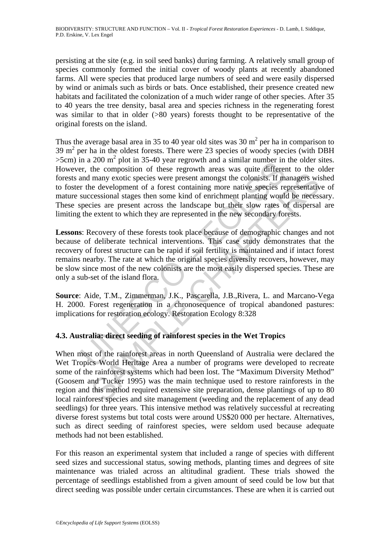persisting at the site (e.g. in soil seed banks) during farming. A relatively small group of species commonly formed the initial cover of woody plants at recently abandoned farms. All were species that produced large numbers of seed and were easily dispersed by wind or animals such as birds or bats. Once established, their presence created new habitats and facilitated the colonization of a much wider range of other species. After 35 to 40 years the tree density, basal area and species richness in the regenerating forest was similar to that in older (>80 years) forests thought to be representative of the original forests on the island.

In a 200 III plot in 35-4-0 year legiow and a similar intuner in<br>the cert, the composition of these regrowth areas was quite different<br>and many exotic species were present amongst the colonists. If means the development of Thus the average basal area in 35 to 40 year old sites was 30  $m<sup>2</sup>$  per ha in comparison to 39  $m<sup>2</sup>$  per ha in the oldest forests. There were 23 species of woody species (with DBH  $>5$ cm) in a 200 m<sup>2</sup> plot in 35-40 year regrowth and a similar number in the older sites. However, the composition of these regrowth areas was quite different to the older forests and many exotic species were present amongst the colonists. If managers wished to foster the development of a forest containing more native species representative of mature successional stages then some kind of enrichment planting would be necessary. These species are present across the landscape but their slow rates of dispersal are limiting the extent to which they are represented in the new secondary forests.

many exotic species were present amongst the colonists. If managers wise development of a forest containing more native species representatives in eduction at stage then some kind of enrichment planting involtable necessio **Lessons**: Recovery of these forests took place because of demographic changes and not because of deliberate technical interventions. This case study demonstrates that the recovery of forest structure can be rapid if soil fertility is maintained and if intact forest remains nearby. The rate at which the original species diversity recovers, however, may be slow since most of the new colonists are the most easily dispersed species. These are only a sub-set of the island flora.

**Source**: Aide, T.M., Zimmerman, J.K., Pascarella, J.B.,Rivera, L. and Marcano-Vega H. 2000. Forest regeneration in a chronosequence of tropical abandoned pastures: implications for restoration ecology. Restoration Ecology 8:328

# **4.3. Australia: direct seeding of rainforest species in the Wet Tropics**

When most of the rainforest areas in north Queensland of Australia were declared the Wet Tropics World Heritage Area a number of programs were developed to recreate some of the rainforest systems which had been lost. The "Maximum Diversity Method" (Goosem and Tucker 1995) was the main technique used to restore rainforests in the region and this method required extensive site preparation, dense plantings of up to 80 local rainforest species and site management (weeding and the replacement of any dead seedlings) for three years. This intensive method was relatively successful at recreating diverse forest systems but total costs were around US\$20 000 per hectare. Alternatives, such as direct seeding of rainforest species, were seldom used because adequate methods had not been established.

For this reason an experimental system that included a range of species with different seed sizes and successional status, sowing methods, planting times and degrees of site maintenance was trialed across an altitudinal gradient. These trials showed the percentage of seedlings established from a given amount of seed could be low but that direct seeding was possible under certain circumstances. These are when it is carried out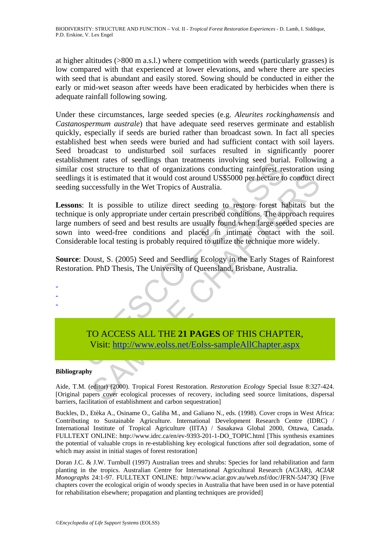at higher altitudes (>800 m a.s.l.) where competition with weeds (particularly grasses) is low compared with that experienced at lower elevations, and where there are species with seed that is abundant and easily stored. Sowing should be conducted in either the early or mid-wet season after weeds have been eradicated by herbicides when there is adequate rainfall following sowing.

Under these circumstances, large seeded species (e.g. *Aleurites rockinghamensis* and *Castanospermum australe*) that have adequate seed reserves germinate and establish quickly, especially if seeds are buried rather than broadcast sown. In fact all species established best when seeds were buried and had sufficient contact with soil layers. Seed broadcast to undisturbed soil surfaces resulted in significantly poorer establishment rates of seedlings than treatments involving seed burial. Following a similar cost structure to that of organizations conducting rainforest restoration using seedlings it is estimated that it would cost around US\$5000 per hectare to conduct direct seeding successfully in the Wet Tropics of Australia.

ment taxes of securings unan tradinities involving sectoural<br>cost structure to that of organizations conducting raincrease respective<br>is it is estimated that it would cost around US\$5000 per hectare to<br>successfully in the is estimated that it would cost around US\$5000 per hectare to conduct decessfully in the Wet Tropics of Australia.<br>
It is possible to utilize direct seeding to restore forest habitats but<br>
so mly appropriate under cretain **Lessons**: It is possible to utilize direct seeding to restore forest habitats but the technique is only appropriate under certain prescribed conditions. The approach requires large numbers of seed and best results are usually found when large seeded species are sown into weed-free conditions and placed in intimate contact with the soil. Considerable local testing is probably required to utilize the technique more widely.

**Source**: Doust, S. (2005) Seed and Seedling Ecology in the Early Stages of Rainforest Restoration. PhD Thesis, The University of Queensland, Brisbane, Australia.

# TO ACCESS ALL THE **21 PAGES** OF THIS CHAPTER, Visit: http://www.eolss.net/Eolss-sampleAllChapter.aspx

#### **Bibliography**

- - -

Aide, T.M. (editor) (2000). Tropical Forest Restoration. *Restoration Ecology* Special Issue 8:327-424. [Original papers cover ecological processes of recovery, including seed source limitations, dispersal barriers, facilitation of establishment and carbon sequestration]

Buckles, D., Etèka A., Osiname O., Galiba M., and Galiano N., eds. (1998). Cover crops in West Africa: Contributing to Sustainable Agriculture. International Development Research Centre (IDRC) / International Institute of Tropical Agriculture (IITA) / Sasakawa Global 2000, Ottawa, Canada. FULLTEXT ONLINE: http://www.idrc.ca/en/ev-9393-201-1-DO\_TOPIC.html [This synthesis examines the potential of valuable crops in re-establishing key ecological functions after soil degradation, some of which may assist in initial stages of forest restoration]

Doran J.C. & J.W. Turnbull (1997) Australian trees and shrubs: Species for land rehabilitation and farm planting in the tropics. Australian Centre for International Agricultural Research (ACIAR), *ACIAR Monographs* 24:1-97. FULLTEXT ONLINE: http://www.aciar.gov.au/web.nsf/doc/JFRN-5J473Q [Five chapters cover the ecological origin of woody species in Australia that have been used in or have potential for rehabilitation elsewhere; propagation and planting techniques are provided]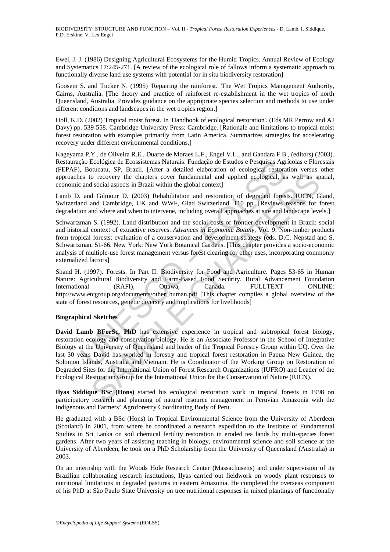Ewel, J. J. (1986) Designing Agricultural Ecosystems for the Humid Tropics. Annual Review of Ecology and Systematics 17:245-271. [A review of the ecological role of fallows inform a systematic approach to functionally diverse land use systems with potential for in situ biodiversity restoration]

Goosem S. and Tucker N. (1995) 'Repairing the rainforest.' The Wet Tropics Management Authority, Cairns, Australia. [The theory and practice of rainforest re-establishment in the wet tropics of north Queensland, Australia. Provides guidance on the appropriate species selection and methods to use under different conditions and landscapes in the wet tropics region.]

Holl, K.D. (2002) Tropical moist forest. In 'Handbook of ecological restoration'. (Eds MR Perrow and AJ Davy) pp. 539-558. Cambridge University Press: Cambridge. [Rationale and limitations to tropical moist forest restoration with examples primarily from Latin America. Summarizes strategies for accelerating recovery under different environmental conditions.]

Kageyama P.Y., de Oliveira R.E., Duarte de Moraes L.F., Engel V.L., and Gandara F.B., (editors) (2003). Restauração Ecológica de Ecossistemas Naturais. Fundação de Estudos e Pesquisas Agrícolas e Florestais (FEPAF), Botucatu, SP, Brazil. [After a detailed elaboration of ecological restoration versus other approaches to recovery the chapters cover fundamental and applied ecological, as well as spatial, economic and social aspects in Brazil within the global context]

Lamb D. and Gilmour D. (2003) Rehabilitation and restoration of degraded forests. IUCN, Gland, Switzerland and Cambridge, UK and WWF, Glad Switzerland. 110 pp. [Reviews reasons for forest degradation and where and when to intervene, including overall approaches at site and landscape levels.]

(a) Ecologica de Ecososistemas Naturas. Fundação de Estudos e Pesquisas Agr<br>
5. Botucatu, SP, Brazil. [After a detailed elaboration of cological restorates to recovery the chapters cover fundamental and applied ecological, Schwartzman S. (1992). Land distribution and the social costs of frontier development in Brazil: social and historial context of extractive reserves. *Advances in Economic Botany*, Vol. 9: Non-timber products from tropical forests: evaluation of a conservation and development strategy (eds. D.C. Nepstad and S. Schwartzman, 51-66. New York: New York Botanical Gardens. [This chapter provides a socio-economic analysis of multiple-use forest management versus forest clearing for other uses, incorporating commonly externalized factors]

Shand H. (1997). Forests. In Part II: Biodiversity for Food and Agriculture. Pages 53-65 in Human Nature: Agricultural Biodiversity and Farm-Based Food Security. Rural Advancement Foundation International (RAFI), Ottawa, Canada. FULLTEXT ONLINE: http://www.etcgroup.org/documents/other\_human.pdf [This chapter compiles a global overview of the state of forest resources, genetic diversity and implications for livelihoods]

#### **Biographical Sketches**

or coovery the chapters cover fundamental and applied ecological, as well as sp<br>social aspects in Brazil within the global context]<br>social aspects in Brazil within the global context<br>d Gimuar D. (2003) Rehabilitation and r **David Lamb BForSc, PhD** has extensive experience in tropical and subtropical forest biology, restoration ecology and conservation biology. He is an Associate Professor in the School of Integrative Biology at the University of Queensland and leader of the Tropical Forestry Group within UQ. Over the last 30 years David has worked in forestry and tropical forest restoration in Papua New Guinea, the Solomon Islands, Australia and Vietnam. He is Coordinator of the Working Group on Restoration of Degraded Sites for the International Union of Forest Research Organizations (IUFRO) and Leader of the Ecological Restoration Group for the International Union for the Conservation of Nature (IUCN).

**Ilyas Siddique BSc (Hons)** started his ecological restoration work in tropical forests in 1998 on participatory research and planning of natural resource management in Peruvian Amazonia with the Indigenous and Farmers' Agroforestry Coordinating Body of Peru.

He graduated with a BSc (Hons) in Tropical Environmental Science from the University of Aberdeen (Scotland) in 2001, from where he coordinated a research expedition to the Institute of Fundamental Studies in Sri Lanka on soil chemical fertility restoration in eroded tea lands by multi-species forest gardens. After two years of assisting teaching in biology, environmental science and soil science at the University of Aberdeen, he took on a PhD Scholarship from the University of Queensland (Australia) in 2003.

On an internship with the Woods Hole Research Center (Massachusetts) and under supervision of its Brazilian collaborating research institutions, Ilyas carried out fieldwork on woody plant responses to nutritional limitations in degraded pastures in eastern Amazonia. He completed the overseas component of his PhD at São Paulo State University on tree nutritional responses in mixed plantings of functionally